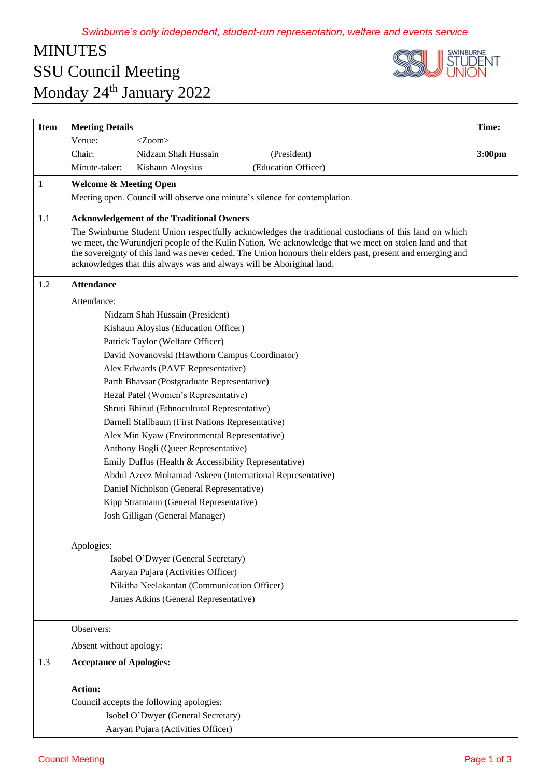## MINUTES SSU Council Meeting Monday 24<sup>th</sup> January 2022



| <b>Item</b> | <b>Meeting Details</b>                                                                                                                                                                                                                                                                                                                                                                                    | Time:  |
|-------------|-----------------------------------------------------------------------------------------------------------------------------------------------------------------------------------------------------------------------------------------------------------------------------------------------------------------------------------------------------------------------------------------------------------|--------|
|             | Venue:<br>$<$ Zoom $>$                                                                                                                                                                                                                                                                                                                                                                                    |        |
|             | Chair:<br>Nidzam Shah Hussain<br>(President)                                                                                                                                                                                                                                                                                                                                                              | 3:00pm |
|             | (Education Officer)<br>Minute-taker:<br>Kishaun Aloysius                                                                                                                                                                                                                                                                                                                                                  |        |
| 1           | <b>Welcome &amp; Meeting Open</b>                                                                                                                                                                                                                                                                                                                                                                         |        |
|             | Meeting open. Council will observe one minute's silence for contemplation.                                                                                                                                                                                                                                                                                                                                |        |
| 1.1         | <b>Acknowledgement of the Traditional Owners</b>                                                                                                                                                                                                                                                                                                                                                          |        |
|             | The Swinburne Student Union respectfully acknowledges the traditional custodians of this land on which<br>we meet, the Wurundjeri people of the Kulin Nation. We acknowledge that we meet on stolen land and that<br>the sovereignty of this land was never ceded. The Union honours their elders past, present and emerging and<br>acknowledges that this always was and always will be Aboriginal land. |        |
| 1.2         | <b>Attendance</b>                                                                                                                                                                                                                                                                                                                                                                                         |        |
|             | Attendance:                                                                                                                                                                                                                                                                                                                                                                                               |        |
|             | Nidzam Shah Hussain (President)                                                                                                                                                                                                                                                                                                                                                                           |        |
|             | Kishaun Aloysius (Education Officer)                                                                                                                                                                                                                                                                                                                                                                      |        |
|             | Patrick Taylor (Welfare Officer)                                                                                                                                                                                                                                                                                                                                                                          |        |
|             | David Novanovski (Hawthorn Campus Coordinator)                                                                                                                                                                                                                                                                                                                                                            |        |
|             | Alex Edwards (PAVE Representative)                                                                                                                                                                                                                                                                                                                                                                        |        |
|             | Parth Bhavsar (Postgraduate Representative)                                                                                                                                                                                                                                                                                                                                                               |        |
|             | Hezal Patel (Women's Representative)                                                                                                                                                                                                                                                                                                                                                                      |        |
|             | Shruti Bhirud (Ethnocultural Representative)                                                                                                                                                                                                                                                                                                                                                              |        |
|             | Darnell Stallbaum (First Nations Representative)                                                                                                                                                                                                                                                                                                                                                          |        |
|             | Alex Min Kyaw (Environmental Representative)                                                                                                                                                                                                                                                                                                                                                              |        |
|             | Anthony Bogli (Queer Representative)                                                                                                                                                                                                                                                                                                                                                                      |        |
|             | Emily Duffus (Health & Accessibility Representative)                                                                                                                                                                                                                                                                                                                                                      |        |
|             | Abdul Azeez Mohamad Askeen (International Representative)                                                                                                                                                                                                                                                                                                                                                 |        |
|             | Daniel Nicholson (General Representative)                                                                                                                                                                                                                                                                                                                                                                 |        |
|             | Kipp Stratmann (General Representative)                                                                                                                                                                                                                                                                                                                                                                   |        |
|             | Josh Gilligan (General Manager)                                                                                                                                                                                                                                                                                                                                                                           |        |
|             | Apologies:                                                                                                                                                                                                                                                                                                                                                                                                |        |
|             | Isobel O'Dwyer (General Secretary)                                                                                                                                                                                                                                                                                                                                                                        |        |
|             | Aaryan Pujara (Activities Officer)                                                                                                                                                                                                                                                                                                                                                                        |        |
|             | Nikitha Neelakantan (Communication Officer)                                                                                                                                                                                                                                                                                                                                                               |        |
|             | James Atkins (General Representative)                                                                                                                                                                                                                                                                                                                                                                     |        |
|             |                                                                                                                                                                                                                                                                                                                                                                                                           |        |
|             | Observers:                                                                                                                                                                                                                                                                                                                                                                                                |        |
|             | Absent without apology:                                                                                                                                                                                                                                                                                                                                                                                   |        |
| 1.3         | <b>Acceptance of Apologies:</b>                                                                                                                                                                                                                                                                                                                                                                           |        |
|             | <b>Action:</b>                                                                                                                                                                                                                                                                                                                                                                                            |        |
|             | Council accepts the following apologies:                                                                                                                                                                                                                                                                                                                                                                  |        |
|             | Isobel O'Dwyer (General Secretary)                                                                                                                                                                                                                                                                                                                                                                        |        |
|             | Aaryan Pujara (Activities Officer)                                                                                                                                                                                                                                                                                                                                                                        |        |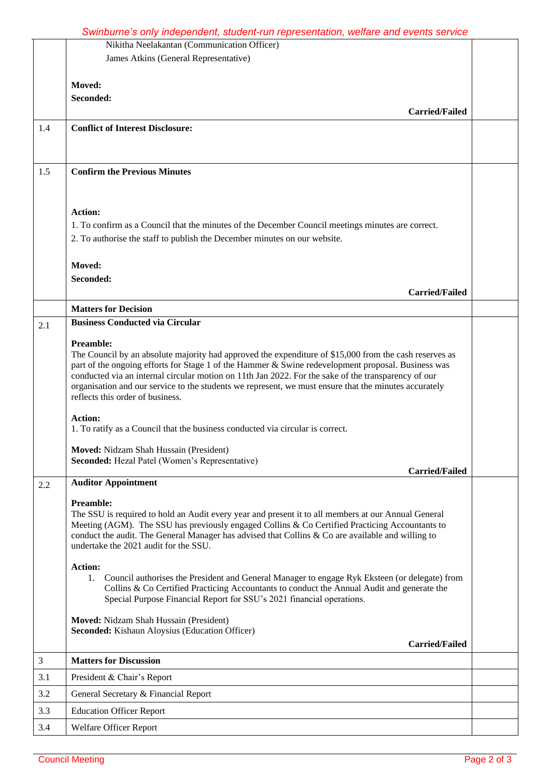## *Swinburne's only independent, student-run representation, welfare and events service*

|     | Nikitha Neelakantan (Communication Officer)                                                                                                                                                                  |  |
|-----|--------------------------------------------------------------------------------------------------------------------------------------------------------------------------------------------------------------|--|
|     | James Atkins (General Representative)                                                                                                                                                                        |  |
|     |                                                                                                                                                                                                              |  |
|     | Moved:                                                                                                                                                                                                       |  |
|     | Seconded:                                                                                                                                                                                                    |  |
|     | <b>Carried/Failed</b>                                                                                                                                                                                        |  |
| 1.4 | <b>Conflict of Interest Disclosure:</b>                                                                                                                                                                      |  |
|     |                                                                                                                                                                                                              |  |
|     |                                                                                                                                                                                                              |  |
| 1.5 | <b>Confirm the Previous Minutes</b>                                                                                                                                                                          |  |
|     |                                                                                                                                                                                                              |  |
|     |                                                                                                                                                                                                              |  |
|     | <b>Action:</b>                                                                                                                                                                                               |  |
|     | 1. To confirm as a Council that the minutes of the December Council meetings minutes are correct.                                                                                                            |  |
|     | 2. To authorise the staff to publish the December minutes on our website.                                                                                                                                    |  |
|     |                                                                                                                                                                                                              |  |
|     | Moved:                                                                                                                                                                                                       |  |
|     | Seconded:                                                                                                                                                                                                    |  |
|     | <b>Carried/Failed</b>                                                                                                                                                                                        |  |
|     | <b>Matters for Decision</b>                                                                                                                                                                                  |  |
| 2.1 | <b>Business Conducted via Circular</b>                                                                                                                                                                       |  |
|     | <b>Preamble:</b>                                                                                                                                                                                             |  |
|     | The Council by an absolute majority had approved the expenditure of \$15,000 from the cash reserves as                                                                                                       |  |
|     | part of the ongoing efforts for Stage 1 of the Hammer & Swine redevelopment proposal. Business was                                                                                                           |  |
|     | conducted via an internal circular motion on 11th Jan 2022. For the sake of the transparency of our<br>organisation and our service to the students we represent, we must ensure that the minutes accurately |  |
|     | reflects this order of business.                                                                                                                                                                             |  |
|     |                                                                                                                                                                                                              |  |
|     | <b>Action:</b><br>1. To ratify as a Council that the business conducted via circular is correct.                                                                                                             |  |
|     |                                                                                                                                                                                                              |  |
|     | Moved: Nidzam Shah Hussain (President)                                                                                                                                                                       |  |
|     | <b>Seconded:</b> Hezal Patel (Women's Representative)<br><b>Carried/Failed</b>                                                                                                                               |  |
| 2.2 | <b>Auditor Appointment</b>                                                                                                                                                                                   |  |
|     |                                                                                                                                                                                                              |  |
|     | <b>Preamble:</b><br>The SSU is required to hold an Audit every year and present it to all members at our Annual General                                                                                      |  |
|     | Meeting (AGM). The SSU has previously engaged Collins & Co Certified Practicing Accountants to                                                                                                               |  |
|     | conduct the audit. The General Manager has advised that Collins & Co are available and willing to                                                                                                            |  |
|     | undertake the 2021 audit for the SSU.                                                                                                                                                                        |  |
|     | <b>Action:</b>                                                                                                                                                                                               |  |
|     | 1. Council authorises the President and General Manager to engage Ryk Eksteen (or delegate) from                                                                                                             |  |
|     | Collins & Co Certified Practicing Accountants to conduct the Annual Audit and generate the<br>Special Purpose Financial Report for SSU's 2021 financial operations.                                          |  |
|     |                                                                                                                                                                                                              |  |
|     | Moved: Nidzam Shah Hussain (President)                                                                                                                                                                       |  |
|     | Seconded: Kishaun Aloysius (Education Officer)                                                                                                                                                               |  |
|     | <b>Carried/Failed</b>                                                                                                                                                                                        |  |
| 3   | <b>Matters for Discussion</b>                                                                                                                                                                                |  |
| 3.1 | President & Chair's Report                                                                                                                                                                                   |  |
| 3.2 | General Secretary & Financial Report                                                                                                                                                                         |  |
| 3.3 | <b>Education Officer Report</b>                                                                                                                                                                              |  |
| 3.4 | Welfare Officer Report                                                                                                                                                                                       |  |